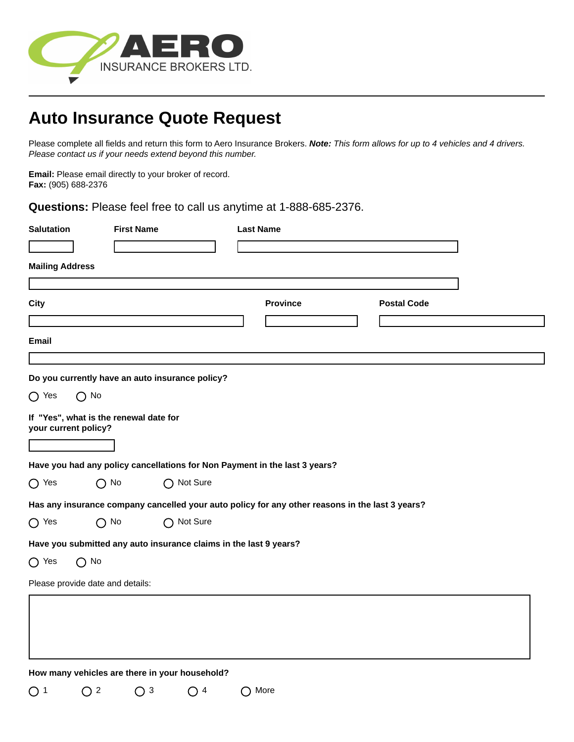

# **Auto Insurance Quote Request**

Please complete all fields and return this form to Aero Insurance Brokers. *Note: This form allows for up to 4 vehicles and 4 drivers. Please contact us if your needs extend beyond this number.* 

**Email:** Please email directly to your broker of record. **Fax:** (905) 688-2376

**Questions:** Please feel free to call us anytime at 1-888-685-2376.

| <b>Salutation</b>      |                                                                | <b>First Name</b> |                                                                   |                                                             | <b>Last Name</b>                                                                                |                    |  |
|------------------------|----------------------------------------------------------------|-------------------|-------------------------------------------------------------------|-------------------------------------------------------------|-------------------------------------------------------------------------------------------------|--------------------|--|
|                        |                                                                |                   |                                                                   |                                                             |                                                                                                 |                    |  |
| <b>Mailing Address</b> |                                                                |                   |                                                                   |                                                             |                                                                                                 |                    |  |
| <b>City</b>            |                                                                |                   |                                                                   |                                                             | <b>Province</b>                                                                                 | <b>Postal Code</b> |  |
|                        |                                                                |                   |                                                                   |                                                             |                                                                                                 |                    |  |
| <b>Email</b>           |                                                                |                   |                                                                   |                                                             |                                                                                                 |                    |  |
|                        |                                                                |                   |                                                                   |                                                             |                                                                                                 |                    |  |
|                        |                                                                |                   | Do you currently have an auto insurance policy?                   |                                                             |                                                                                                 |                    |  |
| $\bigcirc$ Yes         | $\bigcirc$ No                                                  |                   |                                                                   |                                                             |                                                                                                 |                    |  |
|                        | If "Yes", what is the renewal date for<br>your current policy? |                   |                                                                   |                                                             |                                                                                                 |                    |  |
|                        |                                                                |                   |                                                                   |                                                             |                                                                                                 |                    |  |
|                        |                                                                |                   |                                                                   |                                                             | Have you had any policy cancellations for Non Payment in the last 3 years?                      |                    |  |
| $\bigcirc$ Yes         | $\bigcap$ No                                                   |                   | ◯ Not Sure                                                        |                                                             |                                                                                                 |                    |  |
|                        |                                                                |                   |                                                                   |                                                             | Has any insurance company cancelled your auto policy for any other reasons in the last 3 years? |                    |  |
| $\bigcirc$ Yes         | $\bigcirc$ No                                                  |                   | ◯ Not Sure                                                        |                                                             |                                                                                                 |                    |  |
|                        |                                                                |                   | Have you submitted any auto insurance claims in the last 9 years? |                                                             |                                                                                                 |                    |  |
| $\bigcirc$ Yes         | $\bigcap$ No                                                   |                   |                                                                   |                                                             |                                                                                                 |                    |  |
|                        | Please provide date and details:                               |                   |                                                                   |                                                             |                                                                                                 |                    |  |
|                        |                                                                |                   |                                                                   |                                                             |                                                                                                 |                    |  |
|                        |                                                                |                   |                                                                   |                                                             |                                                                                                 |                    |  |
|                        |                                                                |                   |                                                                   |                                                             |                                                                                                 |                    |  |
|                        |                                                                |                   |                                                                   |                                                             |                                                                                                 |                    |  |
|                        |                                                                |                   | How many vehicles are there in your household?                    |                                                             |                                                                                                 |                    |  |
| $\bigcirc$ 1           | $\bigcirc$ 2                                                   | $\bigcap$ 3       | -4<br>$\left(\begin{array}{c} \end{array}\right)$                 | $\left(\begin{smallmatrix} 1 \\ 1 \end{smallmatrix}\right)$ | More                                                                                            |                    |  |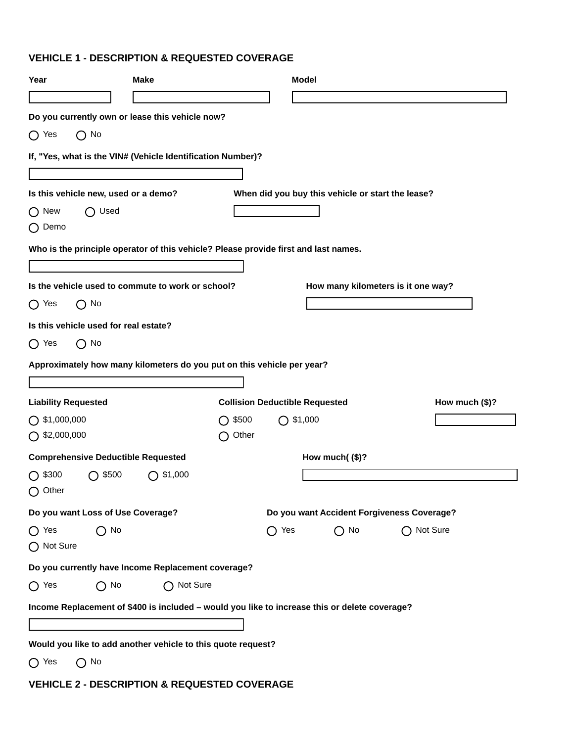# **VEHICLE 1 - DESCRIPTION & REQUESTED COVERAGE**

| Year                                              | <b>Make</b>                                                                                   |                 | <b>Model</b>                          |                                                   |                                            |
|---------------------------------------------------|-----------------------------------------------------------------------------------------------|-----------------|---------------------------------------|---------------------------------------------------|--------------------------------------------|
|                                                   |                                                                                               |                 |                                       |                                                   |                                            |
|                                                   | Do you currently own or lease this vehicle now?                                               |                 |                                       |                                                   |                                            |
| $\bigcirc$ Yes<br>$\bigcap$ No                    |                                                                                               |                 |                                       |                                                   |                                            |
|                                                   | If, "Yes, what is the VIN# (Vehicle Identification Number)?                                   |                 |                                       |                                                   |                                            |
|                                                   |                                                                                               |                 |                                       |                                                   |                                            |
| Is this vehicle new, used or a demo?              |                                                                                               |                 |                                       | When did you buy this vehicle or start the lease? |                                            |
| $\bigcap$ Used<br>$\bigcap$ New<br>$\bigcap$ Demo |                                                                                               |                 |                                       |                                                   |                                            |
|                                                   | Who is the principle operator of this vehicle? Please provide first and last names.           |                 |                                       |                                                   |                                            |
|                                                   |                                                                                               |                 |                                       |                                                   |                                            |
|                                                   | Is the vehicle used to commute to work or school?                                             |                 |                                       |                                                   | How many kilometers is it one way?         |
| $\bigcap$ No<br>$\bigcap$ Yes                     |                                                                                               |                 |                                       |                                                   |                                            |
| Is this vehicle used for real estate?             |                                                                                               |                 |                                       |                                                   |                                            |
| $\bigcap$ Yes<br>$\bigcap$ No                     |                                                                                               |                 |                                       |                                                   |                                            |
|                                                   | Approximately how many kilometers do you put on this vehicle per year?                        |                 |                                       |                                                   |                                            |
|                                                   |                                                                                               |                 |                                       |                                                   |                                            |
| <b>Liability Requested</b>                        |                                                                                               |                 | <b>Collision Deductible Requested</b> |                                                   | How much $($)?$                            |
| $\bigcap$ \$1,000,000                             |                                                                                               | $\bigcap$ \$500 | $\bigcap$ \$1,000                     |                                                   |                                            |
| $\bigcap$ \$2,000,000                             |                                                                                               | Other           |                                       |                                                   |                                            |
| <b>Comprehensive Deductible Requested</b>         |                                                                                               |                 |                                       | How much( $($)$ ?                                 |                                            |
| $\bigcirc$ \$300<br>$\bigcap$ \$500               | $\bigcap$ \$1,000                                                                             |                 |                                       |                                                   |                                            |
| $\bigcap$ Other                                   |                                                                                               |                 |                                       |                                                   |                                            |
| Do you want Loss of Use Coverage?                 |                                                                                               |                 |                                       |                                                   | Do you want Accident Forgiveness Coverage? |
| $\bigcap$ Yes<br>$\bigcap$ No                     |                                                                                               |                 | $\bigcap$ Yes                         | $\bigcap$ No                                      | ◯ Not Sure                                 |
| ◯ Not Sure                                        |                                                                                               |                 |                                       |                                                   |                                            |
|                                                   | Do you currently have Income Replacement coverage?                                            |                 |                                       |                                                   |                                            |
| $\bigcap$ Yes<br>$\bigcap$ No                     | Not Sure<br>( )                                                                               |                 |                                       |                                                   |                                            |
|                                                   | Income Replacement of \$400 is included - would you like to increase this or delete coverage? |                 |                                       |                                                   |                                            |
|                                                   |                                                                                               |                 |                                       |                                                   |                                            |
|                                                   | Would you like to add another vehicle to this quote request?                                  |                 |                                       |                                                   |                                            |
| $\bigcirc$ No<br>$\bigcap$ Yes                    |                                                                                               |                 |                                       |                                                   |                                            |

# **VEHICLE 2 - DESCRIPTION & REQUESTED COVERAGE**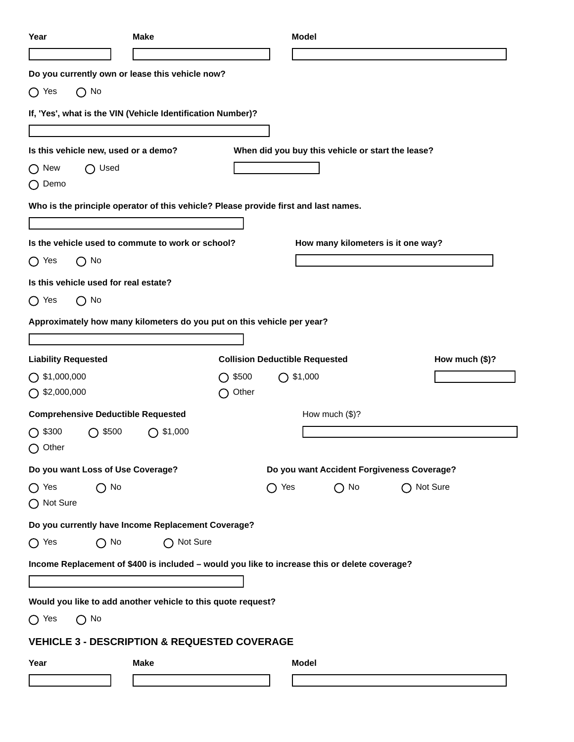| Year                                                                                          | <b>Make</b> |                                   | <b>Model</b>                                      |                                    |                 |
|-----------------------------------------------------------------------------------------------|-------------|-----------------------------------|---------------------------------------------------|------------------------------------|-----------------|
|                                                                                               |             |                                   |                                                   |                                    |                 |
| Do you currently own or lease this vehicle now?                                               |             |                                   |                                                   |                                    |                 |
| $\bigcap$ No<br>$\bigcirc$ Yes                                                                |             |                                   |                                                   |                                    |                 |
| If, 'Yes', what is the VIN (Vehicle Identification Number)?                                   |             |                                   |                                                   |                                    |                 |
|                                                                                               |             |                                   |                                                   |                                    |                 |
| Is this vehicle new, used or a demo?                                                          |             |                                   | When did you buy this vehicle or start the lease? |                                    |                 |
| $\bigcap$ Used<br>$\bigcap$ New                                                               |             |                                   |                                                   |                                    |                 |
| $\bigcap$ Demo                                                                                |             |                                   |                                                   |                                    |                 |
| Who is the principle operator of this vehicle? Please provide first and last names.           |             |                                   |                                                   |                                    |                 |
|                                                                                               |             |                                   |                                                   |                                    |                 |
| Is the vehicle used to commute to work or school?                                             |             |                                   |                                                   | How many kilometers is it one way? |                 |
| $\bigcirc$ Yes<br>$\bigcap$ No                                                                |             |                                   |                                                   |                                    |                 |
| Is this vehicle used for real estate?                                                         |             |                                   |                                                   |                                    |                 |
| $\bigcirc$ No<br>$\bigcirc$ Yes                                                               |             |                                   |                                                   |                                    |                 |
| Approximately how many kilometers do you put on this vehicle per year?                        |             |                                   |                                                   |                                    |                 |
|                                                                                               |             |                                   |                                                   |                                    |                 |
| <b>Liability Requested</b>                                                                    |             |                                   | <b>Collision Deductible Requested</b>             |                                    | How much $($)?$ |
| $\bigcirc$ \$1,000,000                                                                        |             | $\bigcap$ \$1,000<br>\$500<br>( ) |                                                   |                                    |                 |
| $\bigcirc$ \$2,000,000                                                                        |             | Other                             |                                                   |                                    |                 |
| <b>Comprehensive Deductible Requested</b>                                                     |             |                                   | How much (\$)?                                    |                                    |                 |
| $\bigcirc$ \$300<br>\$500<br>$\bigcirc$ Other                                                 | \$1,000     |                                   |                                                   |                                    |                 |
| Do you want Loss of Use Coverage?                                                             |             |                                   | Do you want Accident Forgiveness Coverage?        |                                    |                 |
| $\bigcap$ Yes<br>$\bigcap$ No<br>◯ Not Sure                                                   |             |                                   | $\bigcap$ Yes                                     | $\bigcirc$ No                      | Not Sure        |
| Do you currently have Income Replacement Coverage?                                            |             |                                   |                                                   |                                    |                 |
| $\bigcap$ No<br>$\bigcap$ Yes                                                                 | ◯ Not Sure  |                                   |                                                   |                                    |                 |
| Income Replacement of \$400 is included - would you like to increase this or delete coverage? |             |                                   |                                                   |                                    |                 |
|                                                                                               |             |                                   |                                                   |                                    |                 |
| Would you like to add another vehicle to this quote request?                                  |             |                                   |                                                   |                                    |                 |
| $\bigcap$ Yes<br>$\bigcap$ No                                                                 |             |                                   |                                                   |                                    |                 |
| <b>VEHICLE 3 - DESCRIPTION &amp; REQUESTED COVERAGE</b>                                       |             |                                   |                                                   |                                    |                 |
| Year                                                                                          | <b>Make</b> |                                   | <b>Model</b>                                      |                                    |                 |
|                                                                                               |             |                                   |                                                   |                                    |                 |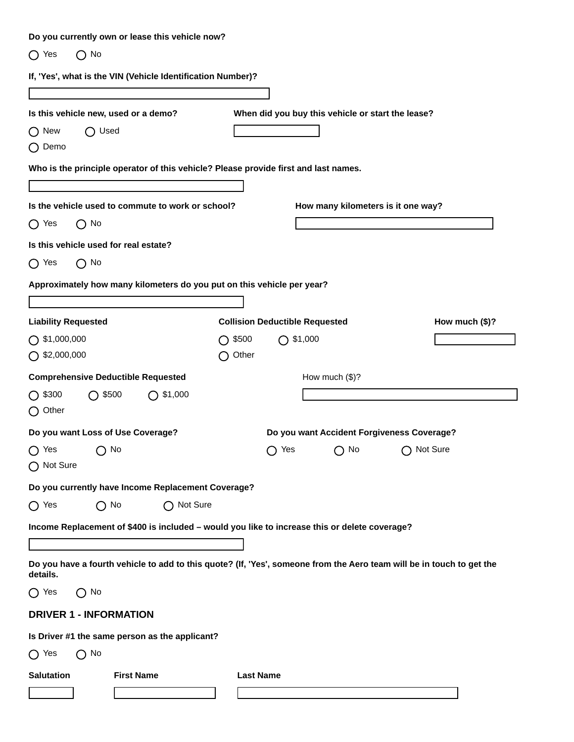| Do you currently own or lease this vehicle now?                                                                                   |                  |                                                   |                 |
|-----------------------------------------------------------------------------------------------------------------------------------|------------------|---------------------------------------------------|-----------------|
| $\bigcap$ Yes<br>$\bigcap$ No                                                                                                     |                  |                                                   |                 |
| If, 'Yes', what is the VIN (Vehicle Identification Number)?                                                                       |                  |                                                   |                 |
|                                                                                                                                   |                  |                                                   |                 |
| Is this vehicle new, used or a demo?                                                                                              |                  | When did you buy this vehicle or start the lease? |                 |
| $\bigcap$ New<br>$\bigcap$ Used                                                                                                   |                  |                                                   |                 |
| $\bigcap$ Demo                                                                                                                    |                  |                                                   |                 |
| Who is the principle operator of this vehicle? Please provide first and last names.                                               |                  |                                                   |                 |
|                                                                                                                                   |                  |                                                   |                 |
| Is the vehicle used to commute to work or school?                                                                                 |                  | How many kilometers is it one way?                |                 |
| $\bigcirc$ Yes<br>$\bigcap$ No                                                                                                    |                  |                                                   |                 |
| Is this vehicle used for real estate?                                                                                             |                  |                                                   |                 |
| $\bigcap$ Yes<br>$\bigcap$ No                                                                                                     |                  |                                                   |                 |
| Approximately how many kilometers do you put on this vehicle per year?                                                            |                  |                                                   |                 |
|                                                                                                                                   |                  |                                                   |                 |
| <b>Liability Requested</b>                                                                                                        |                  | <b>Collision Deductible Requested</b>             | How much $($)?$ |
| $\bigcirc$ \$1,000,000                                                                                                            | $\bigcap$ \$500  | $\bigcap$ \$1,000                                 |                 |
| $\bigcap$ \$2,000,000                                                                                                             | Other            |                                                   |                 |
| <b>Comprehensive Deductible Requested</b>                                                                                         |                  | How much $(\$)$ ?                                 |                 |
| $\bigcirc$ \$300<br>$\bigcap$ \$500<br>$\bigcap$ \$1,000                                                                          |                  |                                                   |                 |
| ◯ Other                                                                                                                           |                  |                                                   |                 |
| Do you want Loss of Use Coverage?                                                                                                 |                  | Do you want Accident Forgiveness Coverage?        |                 |
| $\bigcirc$ Yes<br>$\bigcirc$ No<br>◯ Not Sure                                                                                     |                  | $\bigcirc$ Yes<br>$\bigcirc$ No                   | ◯ Not Sure      |
| Do you currently have Income Replacement Coverage?                                                                                |                  |                                                   |                 |
| ◯ Not Sure<br>$\bigcap$ Yes<br>$\bigcap$ No                                                                                       |                  |                                                   |                 |
| Income Replacement of \$400 is included - would you like to increase this or delete coverage?                                     |                  |                                                   |                 |
|                                                                                                                                   |                  |                                                   |                 |
| Do you have a fourth vehicle to add to this quote? (If, 'Yes', someone from the Aero team will be in touch to get the<br>details. |                  |                                                   |                 |
| $\bigcap$ Yes<br>$\bigcap$ No                                                                                                     |                  |                                                   |                 |
| <b>DRIVER 1 - INFORMATION</b>                                                                                                     |                  |                                                   |                 |
| Is Driver #1 the same person as the applicant?                                                                                    |                  |                                                   |                 |
| $\bigcap$ Yes<br>$\bigcap$ No                                                                                                     |                  |                                                   |                 |
| <b>Salutation</b><br><b>First Name</b>                                                                                            | <b>Last Name</b> |                                                   |                 |
|                                                                                                                                   |                  |                                                   |                 |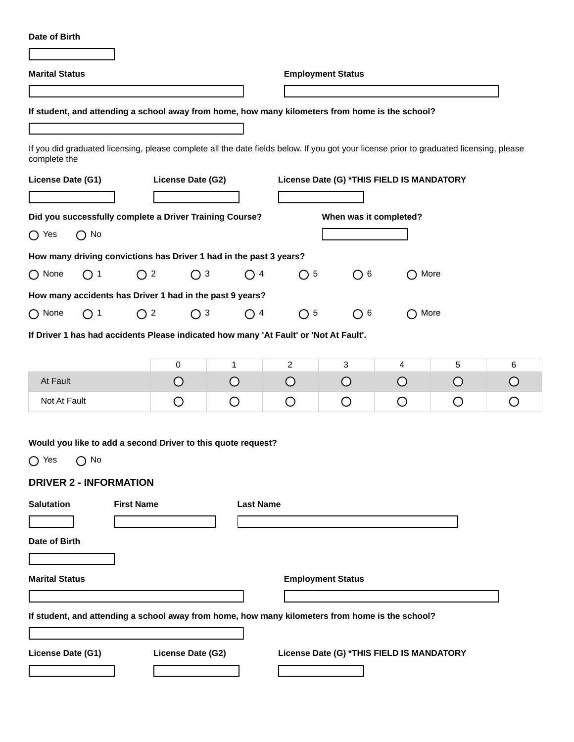**Marital Status Employment Status If student, and attending a school away from home, how many kilometers from home is the school?**  If you did graduated licensing, please complete all the date fields below. If you got your license prior to graduated licensing, please complete the **License Date (G1) License Date (G2) License Date (G) \*THIS FIELD IS MANDATORY Did you successfully complete a Driver Training Course? When was it completed?**  $\bigcap$  Yes  $\bigcap$  No **How many driving convictions has Driver 1 had in the past 3 years?** None  $\bigcirc$  1  $\bigcirc$  2  $\bigcirc$  3  $\bigcirc$  4  $\bigcirc$  5  $\bigcirc$  6  $\bigcirc$  More **How many accidents has Driver 1 had in the past 9 years?** None  $\bigcap$  1  $\bigcap$  2  $\bigcap$  3  $\bigcap$  4  $\bigcap$  5  $\bigcap$  6  $\bigcap$  More **If Driver 1 has had accidents Please indicated how many 'At Fault' or 'Not At Fault'.** 0 1 2 3 4 5 6 At Fault  $\bigcirc$  $\bigcirc$  $\bigcirc$  $\bigcirc$  $\bigcirc$  $\bigcirc$  $\bigcirc$ Not At Fault  $\bigcirc$ O  $\bigcirc$  $\bigcirc$ O O  $\bigcirc$ **Would you like to add a second Driver to this quote request?**  $O$  Yes  $O$  No **DRIVER 2 - INFORMATION Salutation First Name Last Name Date of Birth Marital Status Employment Status If student, and attending a school away from home, how many kilometers from home is the school? License Date (G1) License Date (G2) License Date (G) \*THIS FIELD IS MANDATORY**

**Date of Birth**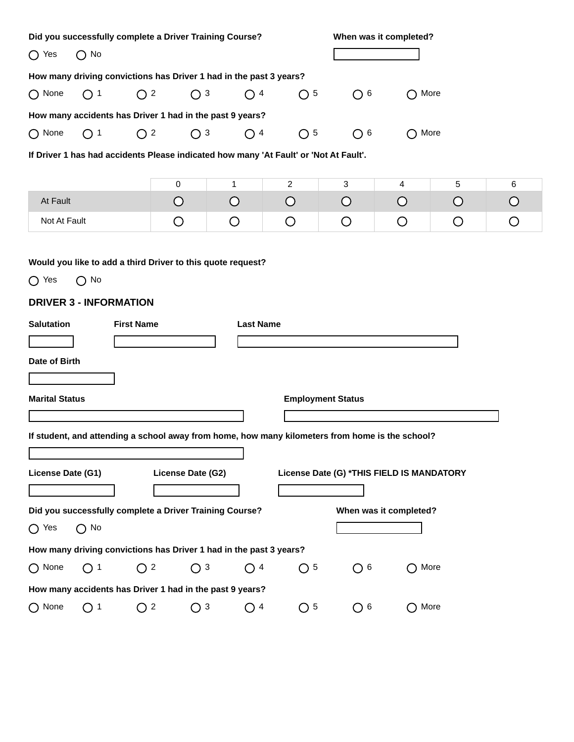| Did you successfully complete a Driver Training Course?                                                                       |                   | When was it completed? |                          |                |                                                         |   |            |  |  |  |  |
|-------------------------------------------------------------------------------------------------------------------------------|-------------------|------------------------|--------------------------|----------------|---------------------------------------------------------|---|------------|--|--|--|--|
| $\bigcap$ No<br>$\bigcap$ Yes                                                                                                 |                   |                        |                          |                |                                                         |   |            |  |  |  |  |
| How many driving convictions has Driver 1 had in the past 3 years?                                                            |                   |                        |                          |                |                                                         |   |            |  |  |  |  |
| $\bigcap$ None<br>$\bigcap$ 1<br>$\bigcirc$ 2                                                                                 | $\bigcap$ 3       | $\bigcirc$ 4           | $\bigcap 5$              | O <sub>6</sub> | $\bigcap$ More                                          |   |            |  |  |  |  |
| How many accidents has Driver 1 had in the past 9 years?                                                                      |                   |                        |                          |                |                                                         |   |            |  |  |  |  |
| $\bigcirc$ 2<br>$\bigcap$ None<br>$\bigcap$ 1                                                                                 | $\bigcirc$ 3      | $\bigcirc$ 4           | $\bigcirc$ 5             | O <sub>6</sub> | More<br>( )                                             |   |            |  |  |  |  |
| If Driver 1 has had accidents Please indicated how many 'At Fault' or 'Not At Fault'.                                         |                   |                        |                          |                |                                                         |   |            |  |  |  |  |
|                                                                                                                               |                   |                        |                          |                |                                                         |   |            |  |  |  |  |
|                                                                                                                               | 0                 | 1                      | $\overline{2}$           | 3              | 4                                                       | 5 | 6          |  |  |  |  |
| At Fault                                                                                                                      | O                 | $\bigcirc$             | O                        | $\bigcirc$     | O                                                       | O | $\bigcirc$ |  |  |  |  |
| Not At Fault                                                                                                                  | O                 | O                      | O                        | O              | O                                                       | O | O          |  |  |  |  |
| Would you like to add a third Driver to this quote request?<br>$\bigcap$ Yes<br>$\bigcap$ No<br><b>DRIVER 3 - INFORMATION</b> |                   |                        |                          |                |                                                         |   |            |  |  |  |  |
| <b>Salutation</b><br><b>First Name</b>                                                                                        |                   | <b>Last Name</b>       |                          |                |                                                         |   |            |  |  |  |  |
|                                                                                                                               |                   |                        |                          |                |                                                         |   |            |  |  |  |  |
| Date of Birth                                                                                                                 |                   |                        |                          |                |                                                         |   |            |  |  |  |  |
|                                                                                                                               |                   |                        |                          |                |                                                         |   |            |  |  |  |  |
| <b>Marital Status</b>                                                                                                         |                   |                        | <b>Employment Status</b> |                |                                                         |   |            |  |  |  |  |
|                                                                                                                               |                   |                        |                          |                |                                                         |   |            |  |  |  |  |
| If student, and attending a school away from home, how many kilometers from home is the school?                               |                   |                        |                          |                |                                                         |   |            |  |  |  |  |
|                                                                                                                               |                   |                        |                          |                |                                                         |   |            |  |  |  |  |
| License Date (G1)                                                                                                             | License Date (G2) |                        |                          |                | License Date (G) *THIS FIELD IS MANDATORY               |   |            |  |  |  |  |
|                                                                                                                               |                   |                        |                          |                |                                                         |   |            |  |  |  |  |
| Did you successfully complete a Driver Training Course?                                                                       |                   |                        |                          |                | When was it completed?                                  |   |            |  |  |  |  |
| $\bigcap$ No<br>$\bigcap$ Yes                                                                                                 |                   |                        |                          |                |                                                         |   |            |  |  |  |  |
| How many driving convictions has Driver 1 had in the past 3 years?                                                            |                   |                        |                          |                |                                                         |   |            |  |  |  |  |
| $\bigcap$ None<br>$\bigcirc$ 2<br>$\bigcirc$ 1                                                                                | O <sub>3</sub>    | $\bigcirc$ 4           | $\bigcap 5$              | O <sub>6</sub> | More<br>$\left( \begin{array}{c} 1 \end{array} \right)$ |   |            |  |  |  |  |
| How many accidents has Driver 1 had in the past 9 years?                                                                      |                   |                        |                          |                |                                                         |   |            |  |  |  |  |
| $\bigcap$ None<br>$\bigcirc$ 1<br>O <sup>2</sup>                                                                              | $\bigcirc$ 3      | O <sup>4</sup>         | O <sub>5</sub>           | O <sub>6</sub> | More<br>◯                                               |   |            |  |  |  |  |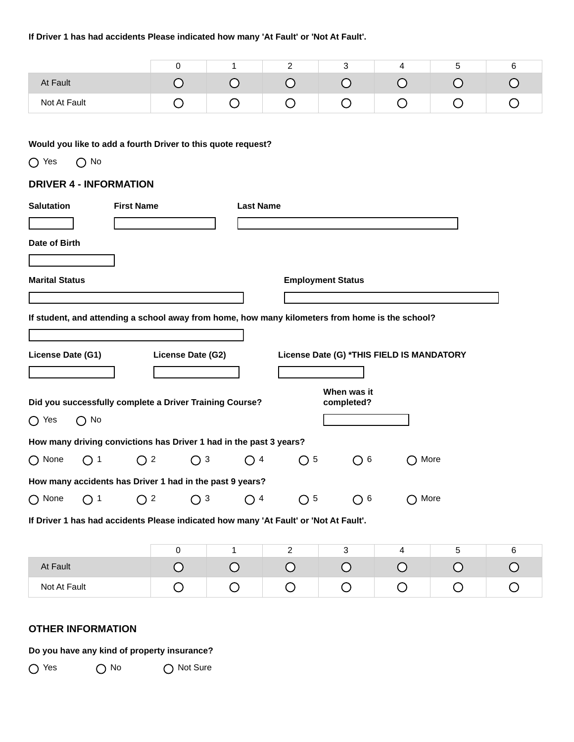## **If Driver 1 has had accidents Please indicated how many 'At Fault' or 'Not At Fault'.**

|              |  | - | ີ |   |  |
|--------------|--|---|---|---|--|
| At Fault     |  |   |   |   |  |
| Not At Fault |  |   | ÷ | ∽ |  |

## **Would you like to add a fourth Driver to this quote request?**

O Yes O No

## **DRIVER 4 - INFORMATION**

| <b>Salutation</b>     |              | <b>First Name</b> |                   |              | <b>Last Name</b>                                                   |                                                                                       |                           |                                                                                                 |      |   |
|-----------------------|--------------|-------------------|-------------------|--------------|--------------------------------------------------------------------|---------------------------------------------------------------------------------------|---------------------------|-------------------------------------------------------------------------------------------------|------|---|
| Date of Birth         |              |                   |                   |              |                                                                    |                                                                                       |                           |                                                                                                 |      |   |
| <b>Marital Status</b> |              |                   |                   |              |                                                                    |                                                                                       | <b>Employment Status</b>  |                                                                                                 |      |   |
|                       |              |                   |                   |              |                                                                    |                                                                                       |                           | If student, and attending a school away from home, how many kilometers from home is the school? |      |   |
| License Date (G1)     |              |                   | License Date (G2) |              |                                                                    |                                                                                       |                           | License Date (G) *THIS FIELD IS MANDATORY                                                       |      |   |
|                       |              |                   |                   |              | Did you successfully complete a Driver Training Course?            |                                                                                       | When was it<br>completed? |                                                                                                 |      |   |
| $\bigcap$ Yes         | $\bigcap$ No |                   |                   |              |                                                                    |                                                                                       |                           |                                                                                                 |      |   |
|                       |              |                   |                   |              | How many driving convictions has Driver 1 had in the past 3 years? |                                                                                       |                           |                                                                                                 |      |   |
| $\bigcap$ None        | $\bigcirc$ 1 | O                 | $\overline{2}$    | $\bigcirc$ 3 | $\bigcirc$ 4                                                       | 5<br>$\Box$                                                                           | 6<br>$\bigcap$            |                                                                                                 | More |   |
|                       |              |                   |                   |              | How many accidents has Driver 1 had in the past 9 years?           |                                                                                       |                           |                                                                                                 |      |   |
| $\bigcap$ None        | $\bigcap$ 1  | O <sup>2</sup>    |                   | $\bigcap$ 3  | $\bigcirc$ 4                                                       | $\bigcap 5$                                                                           | $\bigcap 6$               |                                                                                                 | More |   |
|                       |              |                   |                   |              |                                                                    | If Driver 1 has had accidents Please indicated how many 'At Fault' or 'Not At Fault'. |                           |                                                                                                 |      |   |
|                       |              |                   | $\mathbf 0$       |              | 1                                                                  | $\overline{2}$                                                                        | 3                         | 4                                                                                               | 5    | 6 |

| At Fault     |  |  |  |  |
|--------------|--|--|--|--|
| Not At Fault |  |  |  |  |

# **OTHER INFORMATION**

# **Do you have any kind of property insurance?**

O Yes O No O Not Sure